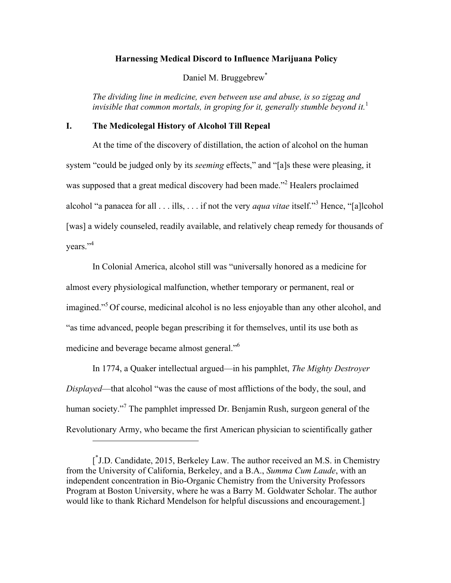#### **Harnessing Medical Discord to Influence Marijuana Policy**

Daniel M. Bruggebrew<sup>\*</sup>

*The dividing line in medicine, even between use and abuse, is so zigzag and invisible that common mortals, in groping for it, generally stumble beyond it.* 1

### **I. The Medicolegal History of Alcohol Till Repeal**

At the time of the discovery of distillation, the action of alcohol on the human system "could be judged only by its *seeming* effects," and "[a]s these were pleasing, it was supposed that a great medical discovery had been made."<sup>2</sup> Healers proclaimed alcohol "a panacea for all . . . ills, . . . if not the very *aqua vitae* itself."<sup>3</sup> Hence, "[a]lcohol [was] a widely counseled, readily available, and relatively cheap remedy for thousands of years."<sup>4</sup>

In Colonial America, alcohol still was "universally honored as a medicine for almost every physiological malfunction, whether temporary or permanent, real or imagined."<sup>5</sup> Of course, medicinal alcohol is no less enjoyable than any other alcohol, and "as time advanced, people began prescribing it for themselves, until its use both as medicine and beverage became almost general."6

In 1774, a Quaker intellectual argued—in his pamphlet, *The Mighty Destroyer Displayed*—that alcohol "was the cause of most afflictions of the body, the soul, and human society."<sup>7</sup> The pamphlet impressed Dr. Benjamin Rush, surgeon general of the Revolutionary Army, who became the first American physician to scientifically gather

 $\overline{a}$ 

<sup>[&</sup>lt;sup>\*</sup>J.D. Candidate, 2015, Berkeley Law. The author received an M.S. in Chemistry from the University of California, Berkeley, and a B.A., *Summa Cum Laude*, with an independent concentration in Bio-Organic Chemistry from the University Professors Program at Boston University, where he was a Barry M. Goldwater Scholar. The author would like to thank Richard Mendelson for helpful discussions and encouragement.]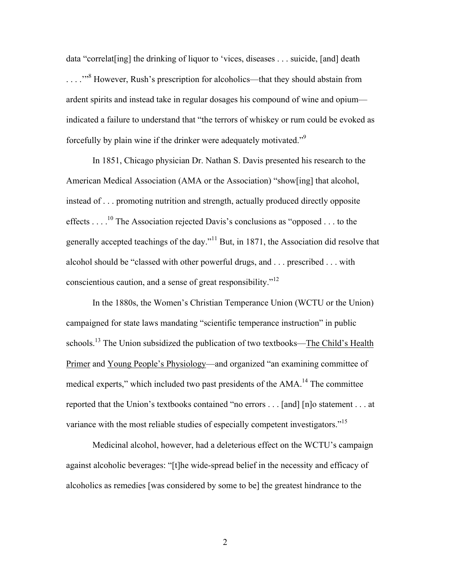data "correlat[ing] the drinking of liquor to 'vices, diseases . . . suicide, [and] death . . . .'"8 However, Rush's prescription for alcoholics—that they should abstain from ardent spirits and instead take in regular dosages his compound of wine and opium indicated a failure to understand that "the terrors of whiskey or rum could be evoked as forcefully by plain wine if the drinker were adequately motivated."<sup>9</sup>

In 1851, Chicago physician Dr. Nathan S. Davis presented his research to the American Medical Association (AMA or the Association) "show[ing] that alcohol, instead of . . . promoting nutrition and strength, actually produced directly opposite effects .  $\ldots$ <sup>10</sup> The Association rejected Davis's conclusions as "opposed . . . to the generally accepted teachings of the day."<sup>11</sup> But, in 1871, the Association did resolve that alcohol should be "classed with other powerful drugs, and . . . prescribed . . . with conscientious caution, and a sense of great responsibility."<sup>12</sup>

In the 1880s, the Women's Christian Temperance Union (WCTU or the Union) campaigned for state laws mandating "scientific temperance instruction" in public schools.<sup>13</sup> The Union subsidized the publication of two textbooks—The Child's Health Primer and Young People's Physiology—and organized "an examining committee of medical experts," which included two past presidents of the AMA.<sup>14</sup> The committee reported that the Union's textbooks contained "no errors . . . [and] [n]o statement . . . at variance with the most reliable studies of especially competent investigators."<sup>15</sup>

Medicinal alcohol, however, had a deleterious effect on the WCTU's campaign against alcoholic beverages: "[t]he wide-spread belief in the necessity and efficacy of alcoholics as remedies [was considered by some to be] the greatest hindrance to the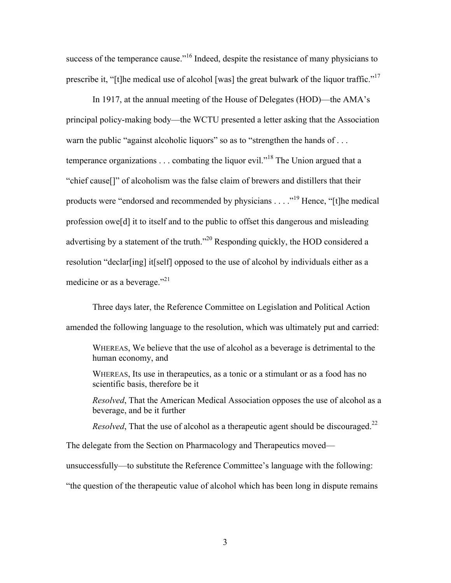success of the temperance cause."<sup>16</sup> Indeed, despite the resistance of many physicians to prescribe it, "[t]he medical use of alcohol [was] the great bulwark of the liquor traffic."<sup>17</sup>

In 1917, at the annual meeting of the House of Delegates (HOD)—the AMA's principal policy-making body—the WCTU presented a letter asking that the Association warn the public "against alcoholic liquors" so as to "strengthen the hands of ... temperance organizations  $\dots$  combating the liquor evil."<sup>18</sup> The Union argued that a "chief cause[]" of alcoholism was the false claim of brewers and distillers that their products were "endorsed and recommended by physicians . . . ."<sup>19</sup> Hence, "[t]he medical profession owe[d] it to itself and to the public to offset this dangerous and misleading advertising by a statement of the truth."<sup>20</sup> Responding quickly, the HOD considered a resolution "declar[ing] it[self] opposed to the use of alcohol by individuals either as a medicine or as a beverage."<sup>21</sup>

Three days later, the Reference Committee on Legislation and Political Action amended the following language to the resolution, which was ultimately put and carried:

WHEREAS, We believe that the use of alcohol as a beverage is detrimental to the human economy, and

WHEREAS, Its use in therapeutics, as a tonic or a stimulant or as a food has no scientific basis, therefore be it

*Resolved*, That the American Medical Association opposes the use of alcohol as a beverage, and be it further

*Resolved*, That the use of alcohol as a therapeutic agent should be discouraged.<sup>22</sup>

The delegate from the Section on Pharmacology and Therapeutics moved—

unsuccessfully—to substitute the Reference Committee's language with the following:

"the question of the therapeutic value of alcohol which has been long in dispute remains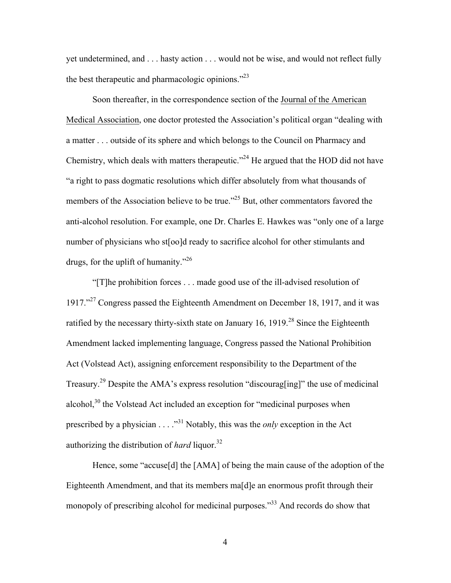yet undetermined, and . . . hasty action . . . would not be wise, and would not reflect fully the best therapeutic and pharmacologic opinions."<sup>23</sup>

Soon thereafter, in the correspondence section of the Journal of the American Medical Association, one doctor protested the Association's political organ "dealing with a matter . . . outside of its sphere and which belongs to the Council on Pharmacy and Chemistry, which deals with matters therapeutic."<sup>24</sup> He argued that the HOD did not have "a right to pass dogmatic resolutions which differ absolutely from what thousands of members of the Association believe to be true.<sup>225</sup> But, other commentators favored the anti-alcohol resolution. For example, one Dr. Charles E. Hawkes was "only one of a large number of physicians who st[oo]d ready to sacrifice alcohol for other stimulants and drugs, for the uplift of humanity."26

"[T]he prohibition forces . . . made good use of the ill-advised resolution of 1917."<sup>27</sup> Congress passed the Eighteenth Amendment on December 18, 1917, and it was ratified by the necessary thirty-sixth state on January 16, 1919.<sup>28</sup> Since the Eighteenth Amendment lacked implementing language, Congress passed the National Prohibition Act (Volstead Act), assigning enforcement responsibility to the Department of the Treasury.29 Despite the AMA's express resolution "discourag[ing]" the use of medicinal alcohol, $30$  the Volstead Act included an exception for "medicinal purposes when prescribed by a physician . . . . .<sup>331</sup> Notably, this was the *only* exception in the Act authorizing the distribution of *hard* liquor.<sup>32</sup>

Hence, some "accuse[d] the [AMA] of being the main cause of the adoption of the Eighteenth Amendment, and that its members ma[d]e an enormous profit through their monopoly of prescribing alcohol for medicinal purposes.<sup>33</sup> And records do show that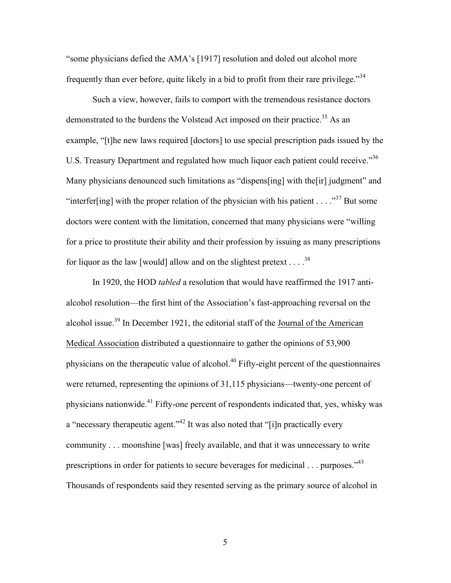"some physicians defied the AMA's [1917] resolution and doled out alcohol more frequently than ever before, quite likely in a bid to profit from their rare privilege."<sup>34</sup>

Such a view, however, fails to comport with the tremendous resistance doctors demonstrated to the burdens the Volstead Act imposed on their practice.<sup>35</sup> As an example, "[t]he new laws required [doctors] to use special prescription pads issued by the U.S. Treasury Department and regulated how much liquor each patient could receive.<sup>356</sup> Many physicians denounced such limitations as "dispens[ing] with the[ir] judgment" and "interfer[ing] with the proper relation of the physician with his patient . . . . "<sup>37</sup> But some doctors were content with the limitation, concerned that many physicians were "willing for a price to prostitute their ability and their profession by issuing as many prescriptions for liquor as the law [would] allow and on the slightest pretext . . . .  $3^8$ 

In 1920, the HOD *tabled* a resolution that would have reaffirmed the 1917 antialcohol resolution—the first hint of the Association's fast-approaching reversal on the alcohol issue.<sup>39</sup> In December 1921, the editorial staff of the Journal of the American Medical Association distributed a questionnaire to gather the opinions of 53,900 physicians on the therapeutic value of alcohol.<sup>40</sup> Fifty-eight percent of the questionnaires were returned, representing the opinions of 31,115 physicians—twenty-one percent of physicians nationwide.41 Fifty-one percent of respondents indicated that, yes, whisky was a "necessary therapeutic agent."<sup>42</sup> It was also noted that "[i]n practically every community . . . moonshine [was] freely available, and that it was unnecessary to write prescriptions in order for patients to secure beverages for medicinal . . . purposes.<sup>743</sup> Thousands of respondents said they resented serving as the primary source of alcohol in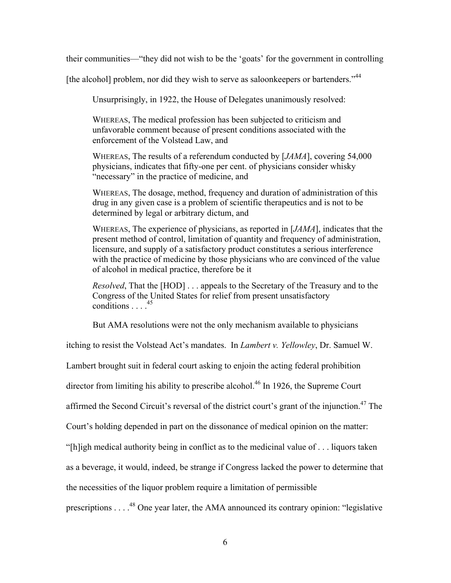their communities—"they did not wish to be the 'goats' for the government in controlling

[the alcohol] problem, nor did they wish to serve as saloonkeepers or bartenders."<sup>44</sup>

Unsurprisingly, in 1922, the House of Delegates unanimously resolved:

WHEREAS, The medical profession has been subjected to criticism and unfavorable comment because of present conditions associated with the enforcement of the Volstead Law, and

WHEREAS, The results of a referendum conducted by [*JAMA*], covering 54,000 physicians, indicates that fifty-one per cent. of physicians consider whisky "necessary" in the practice of medicine, and

WHEREAS, The dosage, method, frequency and duration of administration of this drug in any given case is a problem of scientific therapeutics and is not to be determined by legal or arbitrary dictum, and

WHEREAS, The experience of physicians, as reported in [*JAMA*], indicates that the present method of control, limitation of quantity and frequency of administration, licensure, and supply of a satisfactory product constitutes a serious interference with the practice of medicine by those physicians who are convinced of the value of alcohol in medical practice, therefore be it

*Resolved*, That the [HOD] . . . appeals to the Secretary of the Treasury and to the Congress of the United States for relief from present unsatisfactory conditions . . . . 45

But AMA resolutions were not the only mechanism available to physicians

itching to resist the Volstead Act's mandates. In *Lambert v. Yellowley*, Dr. Samuel W.

Lambert brought suit in federal court asking to enjoin the acting federal prohibition

director from limiting his ability to prescribe alcohol.<sup>46</sup> In 1926, the Supreme Court

affirmed the Second Circuit's reversal of the district court's grant of the injunction.<sup>47</sup> The

Court's holding depended in part on the dissonance of medical opinion on the matter:

"[h]igh medical authority being in conflict as to the medicinal value of . . . liquors taken

as a beverage, it would, indeed, be strange if Congress lacked the power to determine that

the necessities of the liquor problem require a limitation of permissible

prescriptions . . . .<sup>48</sup> One year later, the AMA announced its contrary opinion: "legislative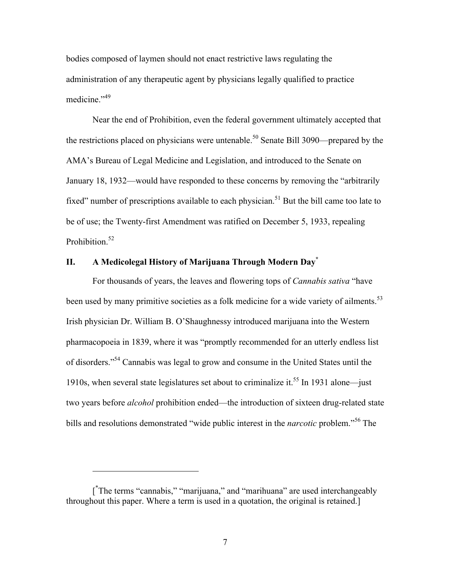bodies composed of laymen should not enact restrictive laws regulating the administration of any therapeutic agent by physicians legally qualified to practice medicine."<sup>49</sup>

Near the end of Prohibition, even the federal government ultimately accepted that the restrictions placed on physicians were untenable. <sup>50</sup> Senate Bill 3090—prepared by the AMA's Bureau of Legal Medicine and Legislation, and introduced to the Senate on January 18, 1932—would have responded to these concerns by removing the "arbitrarily fixed" number of prescriptions available to each physician.<sup>51</sup> But the bill came too late to be of use; the Twenty-first Amendment was ratified on December 5, 1933, repealing Prohibition.<sup>52</sup>

# **II. A Medicolegal History of Marijuana Through Modern Day\***

For thousands of years, the leaves and flowering tops of *Cannabis sativa* "have been used by many primitive societies as a folk medicine for a wide variety of ailments.<sup>53</sup> Irish physician Dr. William B. O'Shaughnessy introduced marijuana into the Western pharmacopoeia in 1839, where it was "promptly recommended for an utterly endless list of disorders."54 Cannabis was legal to grow and consume in the United States until the 1910s, when several state legislatures set about to criminalize it. <sup>55</sup> In 1931 alone—just two years before *alcohol* prohibition ended—the introduction of sixteen drug-related state bills and resolutions demonstrated "wide public interest in the *narcotic* problem."<sup>56</sup> The

 $\overline{a}$ 

<sup>[&</sup>lt;sup>\*</sup>The terms "cannabis," "marijuana," and "marihuana" are used interchangeably throughout this paper. Where a term is used in a quotation, the original is retained.]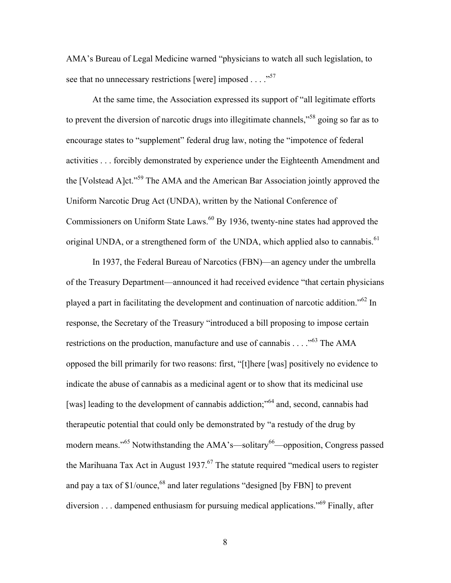AMA's Bureau of Legal Medicine warned "physicians to watch all such legislation, to see that no unnecessary restrictions [were] imposed . . . . "<sup>57</sup>

At the same time, the Association expressed its support of "all legitimate efforts to prevent the diversion of narcotic drugs into illegitimate channels,"<sup>58</sup> going so far as to encourage states to "supplement" federal drug law, noting the "impotence of federal activities . . . forcibly demonstrated by experience under the Eighteenth Amendment and the [Volstead A]ct."59 The AMA and the American Bar Association jointly approved the Uniform Narcotic Drug Act (UNDA), written by the National Conference of Commissioners on Uniform State Laws.<sup>60</sup> By 1936, twenty-nine states had approved the original UNDA, or a strengthened form of the UNDA, which applied also to cannabis.<sup>61</sup>

In 1937, the Federal Bureau of Narcotics (FBN)—an agency under the umbrella of the Treasury Department—announced it had received evidence "that certain physicians played a part in facilitating the development and continuation of narcotic addition."<sup>62</sup> In response, the Secretary of the Treasury "introduced a bill proposing to impose certain restrictions on the production, manufacture and use of cannabis  $\ldots$  .<sup>563</sup> The AMA opposed the bill primarily for two reasons: first, "[t]here [was] positively no evidence to indicate the abuse of cannabis as a medicinal agent or to show that its medicinal use [was] leading to the development of cannabis addiction;<sup>564</sup> and, second, cannabis had therapeutic potential that could only be demonstrated by "a restudy of the drug by modern means."<sup>65</sup> Notwithstanding the AMA's—solitary<sup>66</sup>—opposition, Congress passed the Marihuana Tax Act in August 1937.<sup>67</sup> The statute required "medical users to register and pay a tax of  $$1/ounce$ ,<sup>68</sup> and later regulations "designed [by FBN] to prevent diversion . . . dampened enthusiasm for pursuing medical applications."69 Finally, after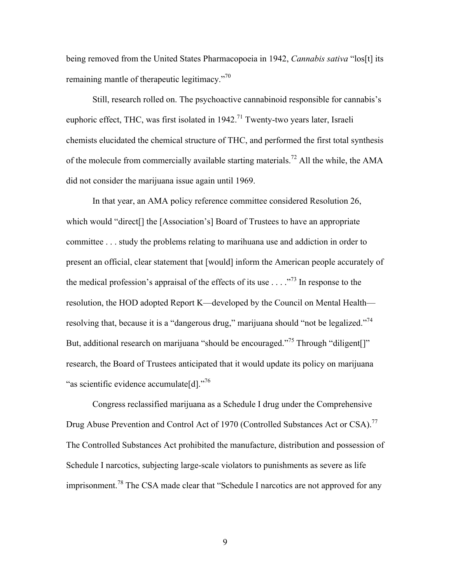being removed from the United States Pharmacopoeia in 1942, *Cannabis sativa* "los[t] its remaining mantle of therapeutic legitimacy."<sup>70</sup>

Still, research rolled on. The psychoactive cannabinoid responsible for cannabis's euphoric effect, THC, was first isolated in  $1942<sup>71</sup>$  Twenty-two years later, Israeli chemists elucidated the chemical structure of THC, and performed the first total synthesis of the molecule from commercially available starting materials.<sup>72</sup> All the while, the AMA did not consider the marijuana issue again until 1969.

In that year, an AMA policy reference committee considered Resolution 26, which would "direct[] the [Association's] Board of Trustees to have an appropriate committee . . . study the problems relating to marihuana use and addiction in order to present an official, clear statement that [would] inform the American people accurately of the medical profession's appraisal of the effects of its use  $\ldots$  ."<sup>73</sup> In response to the resolution, the HOD adopted Report K—developed by the Council on Mental Health resolving that, because it is a "dangerous drug," marijuana should "not be legalized."<sup>74</sup> But, additional research on marijuana "should be encouraged."<sup>75</sup> Through "diligent<sup>[]"</sup> research, the Board of Trustees anticipated that it would update its policy on marijuana "as scientific evidence accumulate[d]."<sup>76</sup>

Congress reclassified marijuana as a Schedule I drug under the Comprehensive Drug Abuse Prevention and Control Act of 1970 (Controlled Substances Act or CSA).<sup>77</sup> The Controlled Substances Act prohibited the manufacture, distribution and possession of Schedule I narcotics, subjecting large-scale violators to punishments as severe as life imprisonment.<sup>78</sup> The CSA made clear that "Schedule I narcotics are not approved for any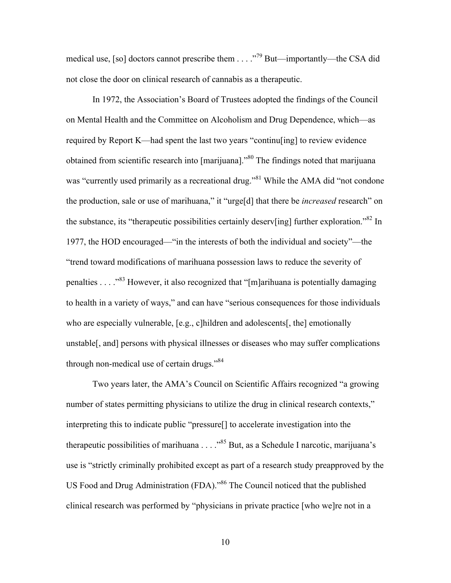medical use, [so] doctors cannot prescribe them . . . .<sup>79</sup> But—importantly—the CSA did not close the door on clinical research of cannabis as a therapeutic.

In 1972, the Association's Board of Trustees adopted the findings of the Council on Mental Health and the Committee on Alcoholism and Drug Dependence, which—as required by Report K—had spent the last two years "continu[ing] to review evidence obtained from scientific research into [marijuana].<sup>80</sup> The findings noted that marijuana was "currently used primarily as a recreational drug."<sup>81</sup> While the AMA did "not condone" the production, sale or use of marihuana," it "urge[d] that there be *increased* research" on the substance, its "therapeutic possibilities certainly deserv[ing] further exploration."<sup>82</sup> In 1977, the HOD encouraged—"in the interests of both the individual and society"—the "trend toward modifications of marihuana possession laws to reduce the severity of penalties . . . . "<sup>83</sup> However, it also recognized that "[m]arihuana is potentially damaging to health in a variety of ways," and can have "serious consequences for those individuals who are especially vulnerable, [e.g., c]hildren and adolescents[, the] emotionally unstable[, and] persons with physical illnesses or diseases who may suffer complications through non-medical use of certain drugs."<sup>84</sup>

Two years later, the AMA's Council on Scientific Affairs recognized "a growing number of states permitting physicians to utilize the drug in clinical research contexts," interpreting this to indicate public "pressure[] to accelerate investigation into the therapeutic possibilities of marihuana . . . . "85 But, as a Schedule I narcotic, marijuana's use is "strictly criminally prohibited except as part of a research study preapproved by the US Food and Drug Administration (FDA)." <sup>86</sup> The Council noticed that the published clinical research was performed by "physicians in private practice [who we]re not in a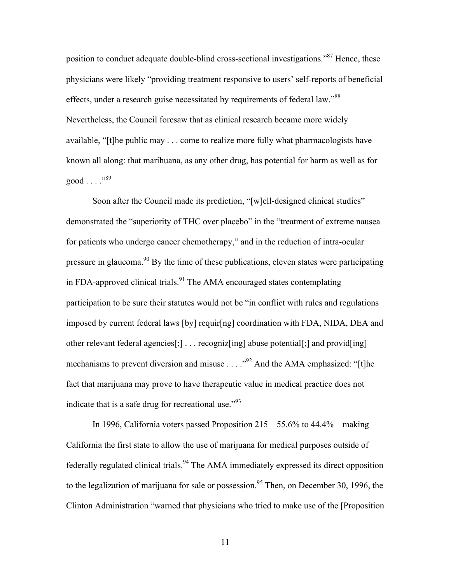position to conduct adequate double-blind cross-sectional investigations.<sup>387</sup> Hence, these physicians were likely "providing treatment responsive to users' self-reports of beneficial effects, under a research guise necessitated by requirements of federal law."<sup>88</sup> Nevertheless, the Council foresaw that as clinical research became more widely available, "[t]he public may . . . come to realize more fully what pharmacologists have known all along: that marihuana, as any other drug, has potential for harm as well as for good  $\ldots$  .  $^{99}$ 

Soon after the Council made its prediction, "[w]ell-designed clinical studies" demonstrated the "superiority of THC over placebo" in the "treatment of extreme nausea for patients who undergo cancer chemotherapy," and in the reduction of intra-ocular pressure in glaucoma.<sup>90</sup> By the time of these publications, eleven states were participating in FDA-approved clinical trials.<sup>91</sup> The AMA encouraged states contemplating participation to be sure their statutes would not be "in conflict with rules and regulations imposed by current federal laws [by] requir[ng] coordination with FDA, NIDA, DEA and other relevant federal agencies[;] . . . recogniz[ing] abuse potential[;] and provid[ing] mechanisms to prevent diversion and misuse  $\ldots$   $\cdot$   $\cdot$  And the AMA emphasized: "[t]he fact that marijuana may prove to have therapeutic value in medical practice does not indicate that is a safe drug for recreational use." $^{93}$ 

In 1996, California voters passed Proposition 215—55.6% to 44.4%—making California the first state to allow the use of marijuana for medical purposes outside of federally regulated clinical trials.<sup>94</sup> The AMA immediately expressed its direct opposition to the legalization of marijuana for sale or possession.<sup>95</sup> Then, on December 30, 1996, the Clinton Administration "warned that physicians who tried to make use of the [Proposition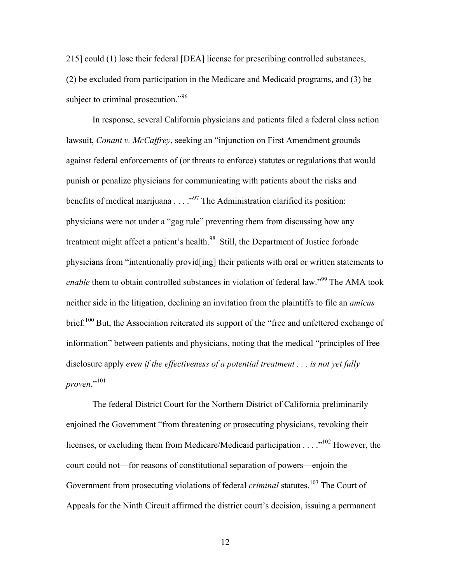215] could (1) lose their federal [DEA] license for prescribing controlled substances, (2) be excluded from participation in the Medicare and Medicaid programs, and (3) be subject to criminal prosecution."<sup>96</sup>

In response, several California physicians and patients filed a federal class action lawsuit, *Conant v. McCaffrey*, seeking an "injunction on First Amendment grounds against federal enforcements of (or threats to enforce) statutes or regulations that would punish or penalize physicians for communicating with patients about the risks and benefits of medical marijuana  $\ldots$   $\cdot$  ..."<sup>97</sup> The Administration clarified its position: physicians were not under a "gag rule" preventing them from discussing how any treatment might affect a patient's health.<sup>98</sup> Still, the Department of Justice forbade physicians from "intentionally provid[ing] their patients with oral or written statements to *enable* them to obtain controlled substances in violation of federal law."<sup>99</sup> The AMA took neither side in the litigation, declining an invitation from the plaintiffs to file an *amicus*  brief.<sup>100</sup> But, the Association reiterated its support of the "free and unfettered exchange of information" between patients and physicians, noting that the medical "principles of free disclosure apply *even if the effectiveness of a potential treatment . . . is not yet fully proven*."<sup>101</sup>

The federal District Court for the Northern District of California preliminarily enjoined the Government "from threatening or prosecuting physicians, revoking their licenses, or excluding them from Medicare/Medicaid participation . . . ."<sup>102</sup> However, the court could not—for reasons of constitutional separation of powers—enjoin the Government from prosecuting violations of federal *criminal* statutes.<sup>103</sup> The Court of Appeals for the Ninth Circuit affirmed the district court's decision, issuing a permanent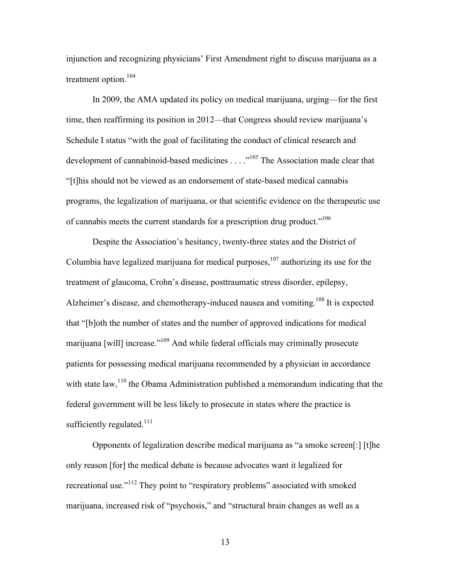injunction and recognizing physicians' First Amendment right to discuss marijuana as a treatment option.<sup>104</sup>

In 2009, the AMA updated its policy on medical marijuana, urging—for the first time, then reaffirming its position in 2012—that Congress should review marijuana's Schedule I status "with the goal of facilitating the conduct of clinical research and development of cannabinoid-based medicines . . . .<sup>105</sup> The Association made clear that "[t]his should not be viewed as an endorsement of state-based medical cannabis programs, the legalization of marijuana, or that scientific evidence on the therapeutic use of cannabis meets the current standards for a prescription drug product.<sup> $106$ </sup>

Despite the Association's hesitancy, twenty-three states and the District of Columbia have legalized marijuana for medical purposes,  $107$  authorizing its use for the treatment of glaucoma, Crohn's disease, posttraumatic stress disorder, epilepsy, Alzheimer's disease, and chemotherapy-induced nausea and vomiting.<sup>108</sup> It is expected that "[b]oth the number of states and the number of approved indications for medical marijuana [will] increase."<sup>109</sup> And while federal officials may criminally prosecute patients for possessing medical marijuana recommended by a physician in accordance with state law,<sup>110</sup> the Obama Administration published a memorandum indicating that the federal government will be less likely to prosecute in states where the practice is sufficiently regulated. $^{111}$ 

Opponents of legalization describe medical marijuana as "a smoke screen[:] [t]he only reason [for] the medical debate is because advocates want it legalized for recreational use."<sup>112</sup> They point to "respiratory problems" associated with smoked marijuana, increased risk of "psychosis," and "structural brain changes as well as a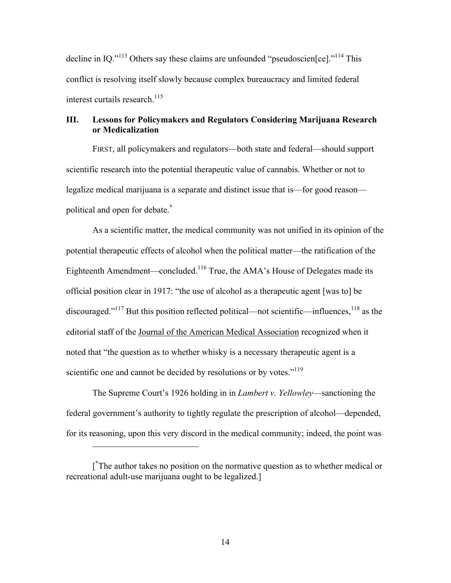decline in IQ."<sup>113</sup> Others say these claims are unfounded "pseudoscien[ce]."<sup>114</sup> This conflict is resolving itself slowly because complex bureaucracy and limited federal interest curtails research. 115

## **III. Lessons for Policymakers and Regulators Considering Marijuana Research or Medicalization**

FIRST, all policymakers and regulators—both state and federal—should support scientific research into the potential therapeutic value of cannabis. Whether or not to legalize medical marijuana is a separate and distinct issue that is—for good reason political and open for debate.\*

As a scientific matter, the medical community was not unified in its opinion of the potential therapeutic effects of alcohol when the political matter—the ratification of the Eighteenth Amendment—concluded.<sup>116</sup> True, the AMA's House of Delegates made its official position clear in 1917: "the use of alcohol as a therapeutic agent [was to] be discouraged." $117$  But this position reflected political—not scientific—influences,  $118$  as the editorial staff of the Journal of the American Medical Association recognized when it noted that "the question as to whether whisky is a necessary therapeutic agent is a scientific one and cannot be decided by resolutions or by votes."<sup>119</sup>

The Supreme Court's 1926 holding in in *Lambert v. Yellowley*—sanctioning the federal government's authority to tightly regulate the prescription of alcohol—depended, for its reasoning, upon this very discord in the medical community; indeed, the point was

 $\overline{a}$ 

<sup>[</sup> \* The author takes no position on the normative question as to whether medical or recreational adult-use marijuana ought to be legalized.]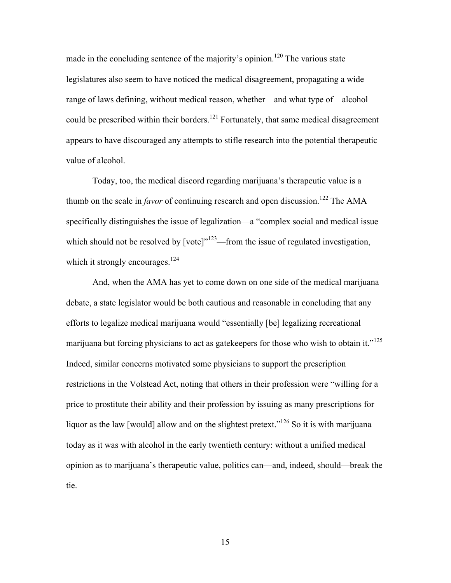made in the concluding sentence of the majority's opinion.<sup>120</sup> The various state legislatures also seem to have noticed the medical disagreement, propagating a wide range of laws defining, without medical reason, whether—and what type of—alcohol could be prescribed within their borders.<sup>121</sup> Fortunately, that same medical disagreement appears to have discouraged any attempts to stifle research into the potential therapeutic value of alcohol.

Today, too, the medical discord regarding marijuana's therapeutic value is a thumb on the scale in *favor* of continuing research and open discussion.<sup>122</sup> The AMA specifically distinguishes the issue of legalization—a "complex social and medical issue which should not be resolved by [vote]"<sup>123</sup>—from the issue of regulated investigation, which it strongly encourages.<sup>124</sup>

And, when the AMA has yet to come down on one side of the medical marijuana debate, a state legislator would be both cautious and reasonable in concluding that any efforts to legalize medical marijuana would "essentially [be] legalizing recreational marijuana but forcing physicians to act as gatekeepers for those who wish to obtain it."<sup>125</sup> Indeed, similar concerns motivated some physicians to support the prescription restrictions in the Volstead Act, noting that others in their profession were "willing for a price to prostitute their ability and their profession by issuing as many prescriptions for liquor as the law [would] allow and on the slightest pretext.<sup> $126$ </sup> So it is with marijuana today as it was with alcohol in the early twentieth century: without a unified medical opinion as to marijuana's therapeutic value, politics can—and, indeed, should—break the tie.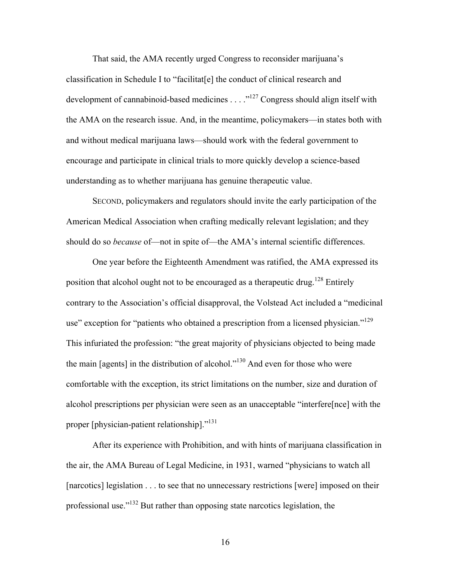That said, the AMA recently urged Congress to reconsider marijuana's classification in Schedule I to "facilitat[e] the conduct of clinical research and development of cannabinoid-based medicines  $\dots$  ."<sup>127</sup> Congress should align itself with the AMA on the research issue. And, in the meantime, policymakers—in states both with and without medical marijuana laws—should work with the federal government to encourage and participate in clinical trials to more quickly develop a science-based understanding as to whether marijuana has genuine therapeutic value.

SECOND, policymakers and regulators should invite the early participation of the American Medical Association when crafting medically relevant legislation; and they should do so *because* of—not in spite of—the AMA's internal scientific differences.

One year before the Eighteenth Amendment was ratified, the AMA expressed its position that alcohol ought not to be encouraged as a therapeutic drug.<sup>128</sup> Entirely contrary to the Association's official disapproval, the Volstead Act included a "medicinal use" exception for "patients who obtained a prescription from a licensed physician."<sup>129</sup> This infuriated the profession: "the great majority of physicians objected to being made the main [agents] in the distribution of alcohol."<sup>130</sup> And even for those who were comfortable with the exception, its strict limitations on the number, size and duration of alcohol prescriptions per physician were seen as an unacceptable "interfere[nce] with the proper [physician-patient relationship]."<sup>131</sup>

After its experience with Prohibition, and with hints of marijuana classification in the air, the AMA Bureau of Legal Medicine, in 1931, warned "physicians to watch all [narcotics] legislation . . . to see that no unnecessary restrictions [were] imposed on their professional use."<sup>132</sup> But rather than opposing state narcotics legislation, the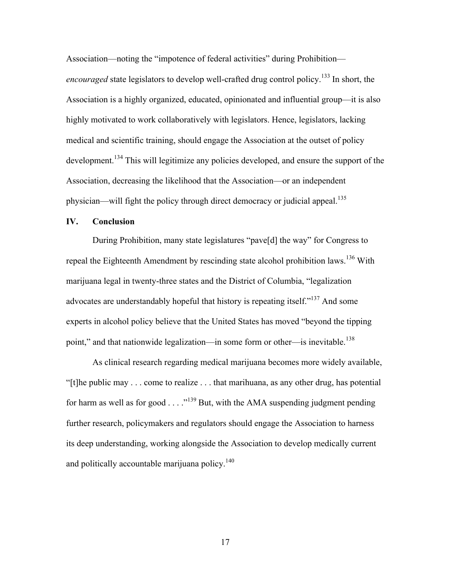Association—noting the "impotence of federal activities" during Prohibition *encouraged* state legislators to develop well-crafted drug control policy.<sup>133</sup> In short, the Association is a highly organized, educated, opinionated and influential group—it is also highly motivated to work collaboratively with legislators. Hence, legislators, lacking medical and scientific training, should engage the Association at the outset of policy development.<sup>134</sup> This will legitimize any policies developed, and ensure the support of the Association, decreasing the likelihood that the Association—or an independent physician—will fight the policy through direct democracy or judicial appeal.<sup>135</sup>

#### **IV. Conclusion**

During Prohibition, many state legislatures "pave[d] the way" for Congress to repeal the Eighteenth Amendment by rescinding state alcohol prohibition laws.<sup>136</sup> With marijuana legal in twenty-three states and the District of Columbia, "legalization advocates are understandably hopeful that history is repeating itself."<sup>137</sup> And some experts in alcohol policy believe that the United States has moved "beyond the tipping point," and that nationwide legalization—in some form or other—is inevitable.<sup>138</sup>

As clinical research regarding medical marijuana becomes more widely available, "[t]he public may . . . come to realize . . . that marihuana, as any other drug, has potential for harm as well as for good  $\ldots$ ."<sup>139</sup> But, with the AMA suspending judgment pending further research, policymakers and regulators should engage the Association to harness its deep understanding, working alongside the Association to develop medically current and politically accountable marijuana policy.<sup>140</sup>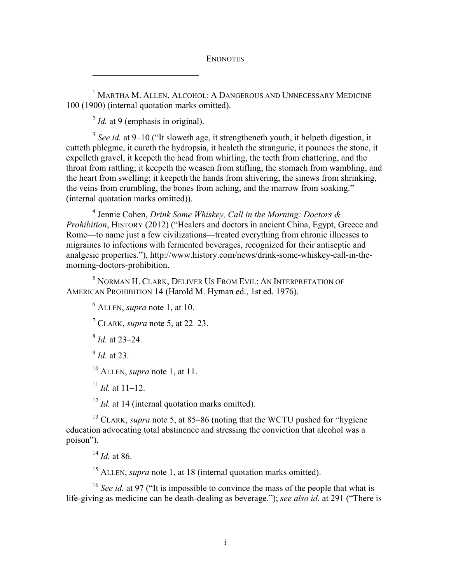ENDNOTES

<sup>1</sup> MARTHA M. ALLEN, ALCOHOL: A DANGEROUS AND UNNECESSARY MEDICINE 100 (1900) (internal quotation marks omitted).

<sup>2</sup> *Id.* at 9 (emphasis in original).

 $\overline{a}$ 

<sup>3</sup> *See id.* at 9–10 ("It sloweth age, it strengtheneth youth, it helpeth digestion, it cutteth phlegme, it cureth the hydropsia, it healeth the strangurie, it pounces the stone, it expelleth gravel, it keepeth the head from whirling, the teeth from chattering, and the throat from rattling; it keepeth the weasen from stifling, the stomach from wambling, and the heart from swelling; it keepeth the hands from shivering, the sinews from shrinking, the veins from crumbling, the bones from aching, and the marrow from soaking." (internal quotation marks omitted)).

<sup>4</sup> Jennie Cohen, *Drink Some Whiskey, Call in the Morning: Doctors & Prohibition*, HISTORY (2012) ("Healers and doctors in ancient China, Egypt, Greece and Rome—to name just a few civilizations—treated everything from chronic illnesses to migraines to infections with fermented beverages, recognized for their antiseptic and analgesic properties."), http://www.history.com/news/drink-some-whiskey-call-in-themorning-doctors-prohibition.

<sup>5</sup> NORMAN H. CLARK, DELIVER US FROM EVIL: AN INTERPRETATION OF AMERICAN PROHIBITION 14 (Harold M. Hyman ed., 1st ed. 1976).

<sup>6</sup> ALLEN, *supra* note 1, at 10.

<sup>7</sup> CLARK, *supra* note 5, at 22–23.

<sup>8</sup> *Id.* at 23–24.

<sup>9</sup> *Id.* at 23.

<sup>10</sup> ALLEN, *supra* note 1, at 11.

 $11$  *Id.* at 11–12.

<sup>12</sup> *Id.* at 14 (internal quotation marks omitted).

<sup>13</sup> CLARK, *supra* note 5, at 85–86 (noting that the WCTU pushed for "hygiene education advocating total abstinence and stressing the conviction that alcohol was a poison").

<sup>14</sup> *Id.* at 86.

<sup>15</sup> ALLEN, *supra* note 1, at 18 (internal quotation marks omitted).

<sup>16</sup> *See id.* at 97 ("It is impossible to convince the mass of the people that what is life-giving as medicine can be death-dealing as beverage."); *see also id*. at 291 ("There is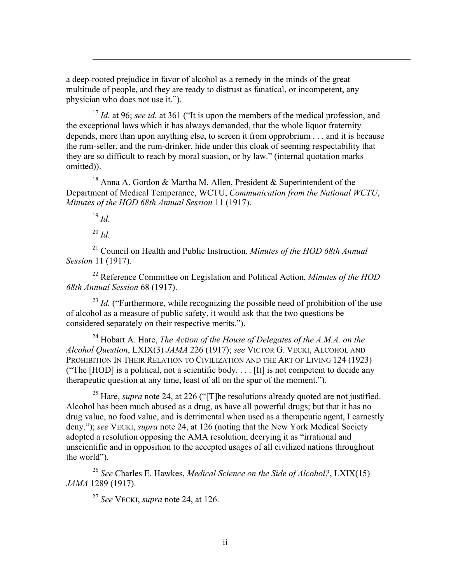a deep-rooted prejudice in favor of alcohol as a remedy in the minds of the great multitude of people, and they are ready to distrust as fanatical, or incompetent, any physician who does not use it.").

<sup>17</sup> *Id.* at 96; *see id.* at 361 ("It is upon the members of the medical profession, and the exceptional laws which it has always demanded, that the whole liquor fraternity depends, more than upon anything else, to screen it from opprobrium . . . and it is because the rum-seller, and the rum-drinker, hide under this cloak of seeming respectability that they are so difficult to reach by moral suasion, or by law." (internal quotation marks omitted)).

<sup>18</sup> Anna A. Gordon & Martha M. Allen, President & Superintendent of the Department of Medical Temperance, WCTU, *Communication from the National WCTU*, *Minutes of the HOD 68th Annual Session* 11 (1917).

<sup>19</sup> *Id.*

 $\overline{a}$ 

<sup>20</sup> *Id.*

<sup>21</sup> Council on Health and Public Instruction, *Minutes of the HOD 68th Annual Session* 11 (1917).

<sup>22</sup> Reference Committee on Legislation and Political Action, *Minutes of the HOD 68th Annual Session* 68 (1917).

<sup>23</sup> *Id.* ("Furthermore, while recognizing the possible need of prohibition of the use of alcohol as a measure of public safety, it would ask that the two questions be considered separately on their respective merits.").

<sup>24</sup> Hobart A. Hare, *The Action of the House of Delegates of the A.M.A. on the Alcohol Question*, LXIX(3) *JAMA* 226 (1917); *see* VICTOR G. VECKI, ALCOHOL AND PROHIBITION IN THEIR RELATION TO CIVILIZATION AND THE ART OF LIVING 124 (1923) ("The [HOD] is a political, not a scientific body.... [It] is not competent to decide any therapeutic question at any time, least of all on the spur of the moment.").

<sup>25</sup> Hare, *supra* note 24, at 226 ("[T]he resolutions already quoted are not justified. Alcohol has been much abused as a drug, as have all powerful drugs; but that it has no drug value, no food value, and is detrimental when used as a therapeutic agent, I earnestly deny."); *see* VECKI, *supra* note 24, at 126 (noting that the New York Medical Society adopted a resolution opposing the AMA resolution, decrying it as "irrational and unscientific and in opposition to the accepted usages of all civilized nations throughout the world").

<sup>26</sup> *See* Charles E. Hawkes, *Medical Science on the Side of Alcohol?*, LXIX(15) *JAMA* 1289 (1917).

<sup>27</sup> *See* VECKI, *supra* note 24, at 126.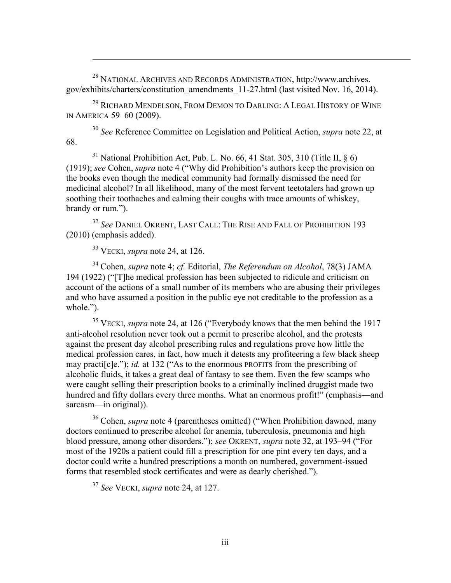<sup>28</sup> NATIONAL ARCHIVES AND RECORDS ADMINISTRATION, http://www.archives. gov/exhibits/charters/constitution\_amendments\_11-27.html (last visited Nov. 16, 2014).

<sup>29</sup> RICHARD MENDELSON, FROM DEMON TO DARLING: A LEGAL HISTORY OF WINE IN AMERICA 59–60 (2009).

<sup>30</sup> *See* Reference Committee on Legislation and Political Action, *supra* note 22, at 68.

<sup>31</sup> National Prohibition Act, Pub. L. No. 66, 41 Stat. 305, 310 (Title II,  $\S$  6) (1919); *see* Cohen, *supra* note 4 ("Why did Prohibition's authors keep the provision on the books even though the medical community had formally dismissed the need for medicinal alcohol? In all likelihood, many of the most fervent teetotalers had grown up soothing their toothaches and calming their coughs with trace amounts of whiskey, brandy or rum.").

<sup>32</sup> *See* DANIEL OKRENT, LAST CALL: THE RISE AND FALL OF PROHIBITION 193 (2010) (emphasis added).

<sup>33</sup> VECKI, *supra* note 24, at 126.

 $\overline{a}$ 

<sup>34</sup> Cohen, *supra* note 4; *cf.* Editorial, *The Referendum on Alcohol*, 78(3) JAMA 194 (1922) ("[T]he medical profession has been subjected to ridicule and criticism on account of the actions of a small number of its members who are abusing their privileges and who have assumed a position in the public eye not creditable to the profession as a whole.").

<sup>35</sup> VECKI, *supra* note 24, at 126 ("Everybody knows that the men behind the 1917 anti-alcohol resolution never took out a permit to prescribe alcohol, and the protests against the present day alcohol prescribing rules and regulations prove how little the medical profession cares, in fact, how much it detests any profiteering a few black sheep may practi<sup>[c]</sup>e."); *id.* at 132 ("As to the enormous PROFITS from the prescribing of alcoholic fluids, it takes a great deal of fantasy to see them. Even the few scamps who were caught selling their prescription books to a criminally inclined druggist made two hundred and fifty dollars every three months. What an enormous profit!" (emphasis—and sarcasm—in original)).

<sup>36</sup> Cohen, *supra* note 4 (parentheses omitted) ("When Prohibition dawned, many doctors continued to prescribe alcohol for anemia, tuberculosis, pneumonia and high blood pressure, among other disorders."); *see* OKRENT, *supra* note 32, at 193–94 ("For most of the 1920s a patient could fill a prescription for one pint every ten days, and a doctor could write a hundred prescriptions a month on numbered, government-issued forms that resembled stock certificates and were as dearly cherished.").

<sup>37</sup> *See* VECKI, *supra* note 24, at 127.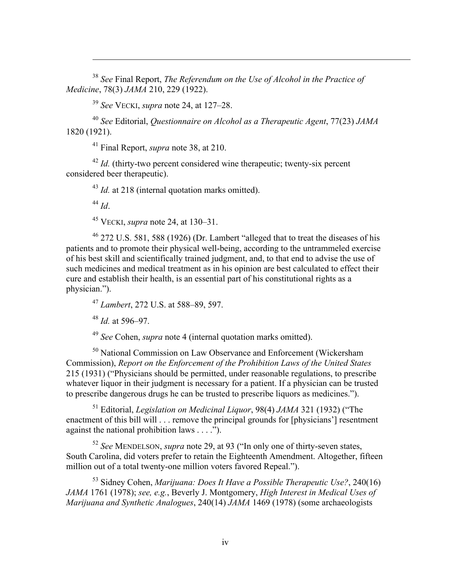<sup>38</sup> *See* Final Report, *The Referendum on the Use of Alcohol in the Practice of Medicine*, 78(3) *JAMA* 210, 229 (1922).

<sup>39</sup> *See* VECKI, *supra* note 24, at 127–28.

<sup>40</sup> *See* Editorial, *Questionnaire on Alcohol as a Therapeutic Agent*, 77(23) *JAMA* 1820 (1921).

<sup>41</sup> Final Report, *supra* note 38, at 210.

<sup>42</sup> *Id.* (thirty-two percent considered wine therapeutic; twenty-six percent considered beer therapeutic).

<sup>43</sup> *Id.* at 218 (internal quotation marks omitted).

<sup>44</sup> *Id*.

 $\overline{a}$ 

<sup>45</sup> VECKI, *supra* note 24, at 130–31.

<sup>46</sup> 272 U.S. 581, 588 (1926) (Dr. Lambert "alleged that to treat the diseases of his patients and to promote their physical well-being, according to the untrammeled exercise of his best skill and scientifically trained judgment, and, to that end to advise the use of such medicines and medical treatment as in his opinion are best calculated to effect their cure and establish their health, is an essential part of his constitutional rights as a physician.").

<sup>47</sup> *Lambert*, 272 U.S. at 588–89, 597.

<sup>48</sup> *Id.* at 596–97.

<sup>49</sup> *See* Cohen, *supra* note 4 (internal quotation marks omitted).

<sup>50</sup> National Commission on Law Observance and Enforcement (Wickersham Commission), *Report on the Enforcement of the Prohibition Laws of the United States* 215 (1931) ("Physicians should be permitted, under reasonable regulations, to prescribe whatever liquor in their judgment is necessary for a patient. If a physician can be trusted to prescribe dangerous drugs he can be trusted to prescribe liquors as medicines.").

<sup>51</sup> Editorial, *Legislation on Medicinal Liquor*, 98(4) *JAMA* 321 (1932) ("The enactment of this bill will . . . remove the principal grounds for [physicians'] resentment against the national prohibition laws . . . .").

<sup>52</sup> *See* MENDELSON, *supra* note 29, at 93 ("In only one of thirty-seven states, South Carolina, did voters prefer to retain the Eighteenth Amendment. Altogether, fifteen million out of a total twenty-one million voters favored Repeal.").

<sup>53</sup> Sidney Cohen, *Marijuana: Does It Have a Possible Therapeutic Use?*, 240(16) *JAMA* 1761 (1978); *see, e.g.*, Beverly J. Montgomery, *High Interest in Medical Uses of Marijuana and Synthetic Analogues*, 240(14) *JAMA* 1469 (1978) (some archaeologists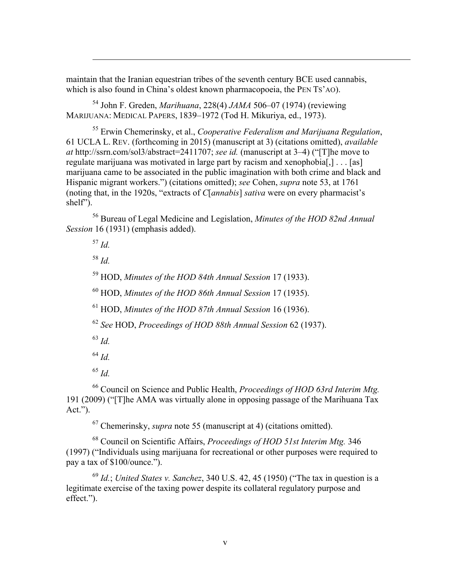maintain that the Iranian equestrian tribes of the seventh century BCE used cannabis, which is also found in China's oldest known pharmacopoeia, the PEN TS'AO).

<sup>54</sup> John F. Greden, *Marihuana*, 228(4) *JAMA* 506–07 (1974) (reviewing MARIJUANA: MEDICAL PAPERS, 1839–1972 (Tod H. Mikuriya, ed., 1973).

<sup>55</sup> Erwin Chemerinsky, et al., *Cooperative Federalism and Marijuana Regulation*, 61 UCLA L. REV. (forthcoming in 2015) (manuscript at 3) (citations omitted), *available at* http://ssrn.com/sol3/abstract=2411707; *see id.* (manuscript at 3–4) ("[T]he move to regulate marijuana was motivated in large part by racism and xenophobia[,] . . . [as] marijuana came to be associated in the public imagination with both crime and black and Hispanic migrant workers.") (citations omitted); *see* Cohen, *supra* note 53, at 1761 (noting that, in the 1920s, "extracts of *C*[*annabis*] *sativa* were on every pharmacist's shelf").

<sup>56</sup> Bureau of Legal Medicine and Legislation, *Minutes of the HOD 82nd Annual Session* 16 (1931) (emphasis added).

<sup>57</sup> *Id.*

 $\overline{a}$ 

<sup>58</sup> *Id.*

<sup>59</sup> HOD, *Minutes of the HOD 84th Annual Session* 17 (1933).

<sup>60</sup> HOD, *Minutes of the HOD 86th Annual Session* 17 (1935).

<sup>61</sup> HOD, *Minutes of the HOD 87th Annual Session* 16 (1936).

<sup>62</sup> *See* HOD, *Proceedings of HOD 88th Annual Session* 62 (1937).

<sup>63</sup> *Id.*

<sup>64</sup> *Id.*

<sup>65</sup> *Id.*

<sup>66</sup> Council on Science and Public Health, *Proceedings of HOD 63rd Interim Mtg.* 191 (2009) ("[T]he AMA was virtually alone in opposing passage of the Marihuana Tax  $Act.''.$ 

<sup>67</sup> Chemerinsky, *supra* note 55 (manuscript at 4) (citations omitted).

<sup>68</sup> Council on Scientific Affairs, *Proceedings of HOD 51st Interim Mtg.* 346 (1997) ("Individuals using marijuana for recreational or other purposes were required to pay a tax of \$100/ounce.").

<sup>69</sup> *Id.*; *United States v. Sanchez*, 340 U.S. 42, 45 (1950) ("The tax in question is a legitimate exercise of the taxing power despite its collateral regulatory purpose and effect.").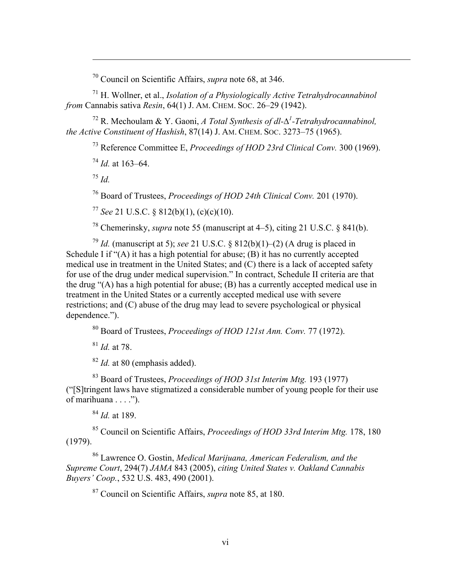<sup>70</sup> Council on Scientific Affairs, *supra* note 68, at 346.

<sup>71</sup> H. Wollner, et al., *Isolation of a Physiologically Active Tetrahydrocannabinol from* Cannabis sativa *Resin*, 64(1) J. AM. CHEM. SOC. 26–29 (1942).

<sup>72</sup> R. Mechoulam & Y. Gaoni, *A Total Synthesis of dl-*∆*<sup>1</sup> -Tetrahydrocannabinol, the Active Constituent of Hashish*, 87(14) J. AM. CHEM. SOC. 3273–75 (1965).

<sup>73</sup> Reference Committee E, *Proceedings of HOD 23rd Clinical Conv.* 300 (1969).

<sup>74</sup> *Id.* at 163–64.

<sup>75</sup> *Id.*

 $\overline{a}$ 

<sup>76</sup> Board of Trustees, *Proceedings of HOD 24th Clinical Conv.* 201 (1970).

<sup>77</sup> *See* 21 U.S.C. § 812(b)(1), (c)(c)(10).

<sup>78</sup> Chemerinsky, *supra* note 55 (manuscript at 4–5), citing 21 U.S.C. § 841(b).

<sup>79</sup> *Id.* (manuscript at 5); *see* 21 U.S.C. § 812(b)(1)–(2) (A drug is placed in Schedule I if " $(A)$  it has a high potential for abuse;  $(B)$  it has no currently accepted medical use in treatment in the United States; and (C) there is a lack of accepted safety for use of the drug under medical supervision." In contract, Schedule II criteria are that the drug "(A) has a high potential for abuse; (B) has a currently accepted medical use in treatment in the United States or a currently accepted medical use with severe restrictions; and (C) abuse of the drug may lead to severe psychological or physical dependence.").

<sup>80</sup> Board of Trustees, *Proceedings of HOD 121st Ann. Conv.* 77 (1972).

<sup>81</sup> *Id.* at 78.

<sup>82</sup> *Id.* at 80 (emphasis added).

<sup>83</sup> Board of Trustees, *Proceedings of HOD 31st Interim Mtg.* 193 (1977) ("[S]tringent laws have stigmatized a considerable number of young people for their use of marihuana  $\dots$ .").

<sup>84</sup> *Id.* at 189.

<sup>85</sup> Council on Scientific Affairs, *Proceedings of HOD 33rd Interim Mtg.* 178, 180 (1979).

<sup>86</sup> Lawrence O. Gostin, *Medical Marijuana, American Federalism, and the Supreme Court*, 294(7) *JAMA* 843 (2005), *citing United States v. Oakland Cannabis Buyers' Coop.*, 532 U.S. 483, 490 (2001).

<sup>87</sup> Council on Scientific Affairs, *supra* note 85, at 180.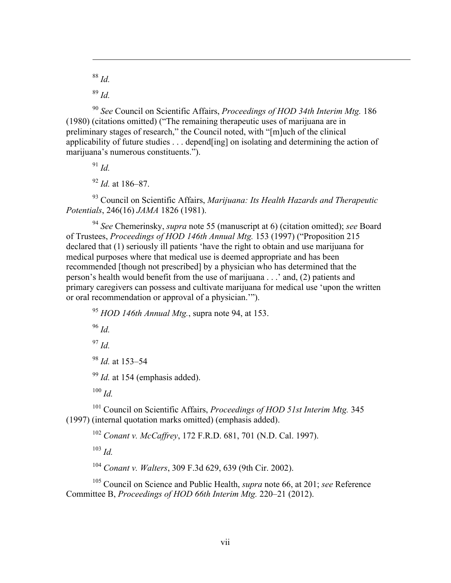<sup>88</sup> *Id.*

 $\overline{a}$ 

<sup>89</sup> *Id.*

<sup>90</sup> *See* Council on Scientific Affairs, *Proceedings of HOD 34th Interim Mtg.* 186 (1980) (citations omitted) ("The remaining therapeutic uses of marijuana are in preliminary stages of research," the Council noted, with "[m]uch of the clinical applicability of future studies . . . depend[ing] on isolating and determining the action of marijuana's numerous constituents.").

<sup>91</sup> *Id.*

<sup>92</sup> *Id.* at 186–87.

<sup>93</sup> Council on Scientific Affairs, *Marijuana: Its Health Hazards and Therapeutic Potentials*, 246(16) *JAMA* 1826 (1981).

<sup>94</sup> *See* Chemerinsky, *supra* note 55 (manuscript at 6) (citation omitted); *see* Board of Trustees, *Proceedings of HOD 146th Annual Mtg.* 153 (1997) ("Proposition 215 declared that (1) seriously ill patients 'have the right to obtain and use marijuana for medical purposes where that medical use is deemed appropriate and has been recommended [though not prescribed] by a physician who has determined that the person's health would benefit from the use of marijuana . . .' and, (2) patients and primary caregivers can possess and cultivate marijuana for medical use 'upon the written or oral recommendation or approval of a physician.'").

<sup>95</sup> *HOD 146th Annual Mtg.*, supra note 94, at 153. <sup>96</sup> *Id.* <sup>97</sup> *Id.* <sup>98</sup> *Id.* at 153–54 <sup>99</sup> *Id.* at 154 (emphasis added). <sup>100</sup> *Id.* <sup>101</sup> Council on Scientific Affairs, *Proceedings of HOD 51st Interim Mtg.* 345 (1997) (internal quotation marks omitted) (emphasis added).

<sup>102</sup> *Conant v. McCaffrey*, 172 F.R.D. 681, 701 (N.D. Cal. 1997).

<sup>103</sup> *Id.*

<sup>104</sup> *Conant v. Walters*, 309 F.3d 629, 639 (9th Cir. 2002).

<sup>105</sup> Council on Science and Public Health, *supra* note 66, at 201; *see* Reference Committee B, *Proceedings of HOD 66th Interim Mtg.* 220–21 (2012).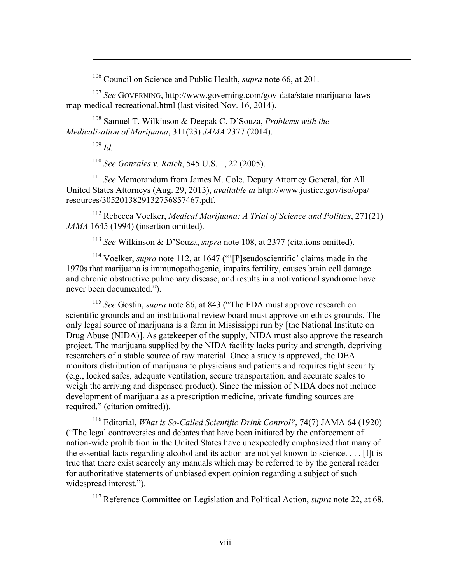<sup>106</sup> Council on Science and Public Health, *supra* note 66, at 201.

<sup>107</sup> *See* GOVERNING, http://www.governing.com/gov-data/state-marijuana-lawsmap-medical-recreational.html (last visited Nov. 16, 2014).

<sup>108</sup> Samuel T. Wilkinson & Deepak C. D'Souza, *Problems with the Medicalization of Marijuana*, 311(23) *JAMA* 2377 (2014).

<sup>109</sup> *Id.*

 $\overline{a}$ 

<sup>110</sup> *See Gonzales v. Raich*, 545 U.S. 1, 22 (2005).

<sup>111</sup> *See* Memorandum from James M. Cole, Deputy Attorney General, for All United States Attorneys (Aug. 29, 2013), *available at* http://www.justice.gov/iso/opa/ resources/3052013829132756857467.pdf.

<sup>112</sup> Rebecca Voelker, *Medical Marijuana: A Trial of Science and Politics*, 271(21) *JAMA* 1645 (1994) (insertion omitted).

<sup>113</sup> *See* Wilkinson & D'Souza, *supra* note 108, at 2377 (citations omitted).

<sup>114</sup> Voelker, *supra* note 112, at 1647 ("'[P]seudoscientific' claims made in the 1970s that marijuana is immunopathogenic, impairs fertility, causes brain cell damage and chronic obstructive pulmonary disease, and results in amotivational syndrome have never been documented.").

<sup>115</sup> *See* Gostin, *supra* note 86, at 843 ("The FDA must approve research on scientific grounds and an institutional review board must approve on ethics grounds. The only legal source of marijuana is a farm in Mississippi run by [the National Institute on Drug Abuse (NIDA)]. As gatekeeper of the supply, NIDA must also approve the research project. The marijuana supplied by the NIDA facility lacks purity and strength, depriving researchers of a stable source of raw material. Once a study is approved, the DEA monitors distribution of marijuana to physicians and patients and requires tight security (e.g., locked safes, adequate ventilation, secure transportation, and accurate scales to weigh the arriving and dispensed product). Since the mission of NIDA does not include development of marijuana as a prescription medicine, private funding sources are required." (citation omitted)).

<sup>116</sup> Editorial, *What is So-Called Scientific Drink Control?*, 74(7) JAMA 64 (1920) ("The legal controversies and debates that have been initiated by the enforcement of nation-wide prohibition in the United States have unexpectedly emphasized that many of the essential facts regarding alcohol and its action are not yet known to science. . . . [I]t is true that there exist scarcely any manuals which may be referred to by the general reader for authoritative statements of unbiased expert opinion regarding a subject of such widespread interest.").

<sup>117</sup> Reference Committee on Legislation and Political Action, *supra* note 22, at 68.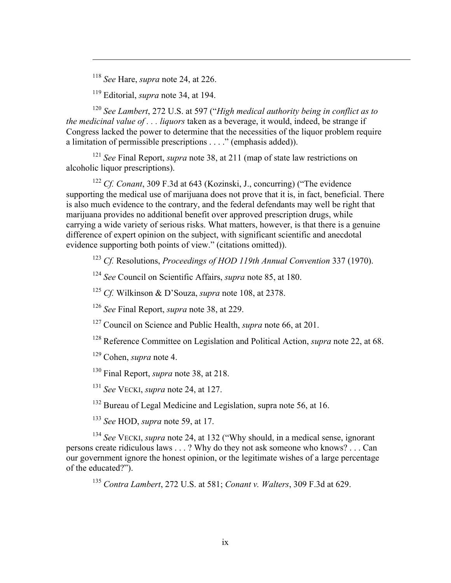<sup>118</sup> *See* Hare, *supra* note 24, at 226.

 $\overline{a}$ 

<sup>119</sup> Editorial, *supra* note 34, at 194.

<sup>120</sup> *See Lambert*, 272 U.S. at 597 ("*High medical authority being in conflict as to the medicinal value of . . . liquors* taken as a beverage, it would, indeed, be strange if Congress lacked the power to determine that the necessities of the liquor problem require a limitation of permissible prescriptions . . . ." (emphasis added)).

<sup>121</sup> *See* Final Report, *supra* note 38, at 211 (map of state law restrictions on alcoholic liquor prescriptions).

<sup>122</sup> *Cf. Conant*, 309 F.3d at 643 (Kozinski, J., concurring) ("The evidence supporting the medical use of marijuana does not prove that it is, in fact, beneficial. There is also much evidence to the contrary, and the federal defendants may well be right that marijuana provides no additional benefit over approved prescription drugs, while carrying a wide variety of serious risks. What matters, however, is that there is a genuine difference of expert opinion on the subject, with significant scientific and anecdotal evidence supporting both points of view." (citations omitted)).

<sup>123</sup> *Cf.* Resolutions, *Proceedings of HOD 119th Annual Convention* 337 (1970).

<sup>124</sup> *See* Council on Scientific Affairs, *supra* note 85, at 180.

<sup>125</sup> *Cf.* Wilkinson & D'Souza, *supra* note 108, at 2378.

<sup>126</sup> *See* Final Report, *supra* note 38, at 229.

<sup>127</sup> Council on Science and Public Health, *supra* note 66, at 201.

<sup>128</sup> Reference Committee on Legislation and Political Action, *supra* note 22, at 68.

<sup>129</sup> Cohen, *supra* note 4.

<sup>130</sup> Final Report, *supra* note 38, at 218.

<sup>131</sup> *See* VECKI, *supra* note 24, at 127.

<sup>132</sup> Bureau of Legal Medicine and Legislation, supra note 56, at 16.

<sup>133</sup> *See* HOD, *supra* note 59, at 17.

<sup>134</sup> *See* VECKI, *supra* note 24, at 132 ("Why should, in a medical sense, ignorant persons create ridiculous laws . . . ? Why do they not ask someone who knows? . . . Can our government ignore the honest opinion, or the legitimate wishes of a large percentage of the educated?").

<sup>135</sup> *Contra Lambert*, 272 U.S. at 581; *Conant v. Walters*, 309 F.3d at 629.